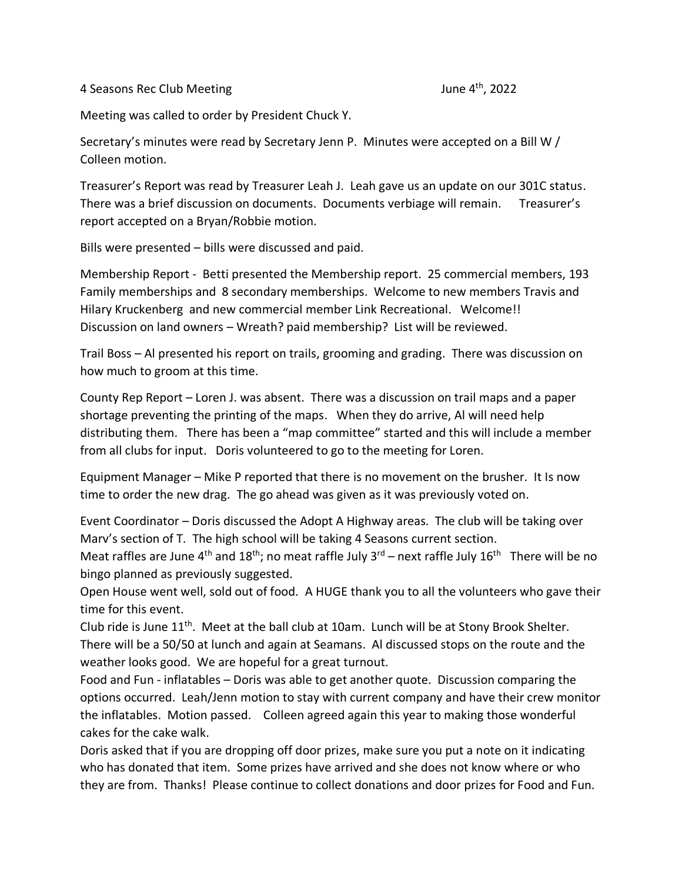4 Seasons Rec Club Meeting

Meeting was called to order by President Chuck Y.

Secretary's minutes were read by Secretary Jenn P. Minutes were accepted on a Bill W / Colleen motion.

Treasurer's Report was read by Treasurer Leah J. Leah gave us an update on our 301C status. There was a brief discussion on documents. Documents verbiage will remain. Treasurer's report accepted on a Bryan/Robbie motion.

Bills were presented – bills were discussed and paid.

Membership Report - Betti presented the Membership report. 25 commercial members, 193 Family memberships and 8 secondary memberships. Welcome to new members Travis and Hilary Kruckenberg and new commercial member Link Recreational. Welcome!! Discussion on land owners – Wreath? paid membership? List will be reviewed.

Trail Boss – Al presented his report on trails, grooming and grading. There was discussion on how much to groom at this time.

County Rep Report – Loren J. was absent. There was a discussion on trail maps and a paper shortage preventing the printing of the maps. When they do arrive, Al will need help distributing them. There has been a "map committee" started and this will include a member from all clubs for input. Doris volunteered to go to the meeting for Loren.

Equipment Manager – Mike P reported that there is no movement on the brusher. It Is now time to order the new drag. The go ahead was given as it was previously voted on.

Event Coordinator – Doris discussed the Adopt A Highway areas. The club will be taking over Marv's section of T. The high school will be taking 4 Seasons current section.

Meat raffles are June 4<sup>th</sup> and 18<sup>th</sup>; no meat raffle July 3<sup>rd</sup> – next raffle July 16<sup>th</sup> There will be no bingo planned as previously suggested.

Open House went well, sold out of food. A HUGE thank you to all the volunteers who gave their time for this event.

Club ride is June 11th. Meet at the ball club at 10am. Lunch will be at Stony Brook Shelter. There will be a 50/50 at lunch and again at Seamans. Al discussed stops on the route and the weather looks good. We are hopeful for a great turnout.

Food and Fun - inflatables – Doris was able to get another quote. Discussion comparing the options occurred. Leah/Jenn motion to stay with current company and have their crew monitor the inflatables. Motion passed. Colleen agreed again this year to making those wonderful cakes for the cake walk.

Doris asked that if you are dropping off door prizes, make sure you put a note on it indicating who has donated that item. Some prizes have arrived and she does not know where or who they are from. Thanks! Please continue to collect donations and door prizes for Food and Fun.